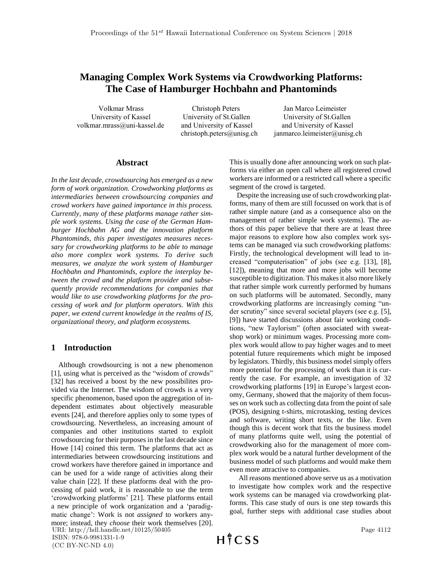# **Managing Complex Work Systems via Crowdworking Platforms: The Case of Hamburger Hochbahn and Phantominds**

**volkmar.mrass@uni-kassel.de and University of Kassel and University of Kassel**

 **Volkmar Mrass Christoph Peters Jan Marco Leimeister**

 **University of Kassel University of St.Gallen University of St.Gallen christoph.peters@unisg.ch janmarco.leimeister@unisg.ch**

## **Abstract**

*In the last decade, crowdsourcing has emerged as a new form of work organization. Crowdworking platforms as intermediaries between crowdsourcing companies and crowd workers have gained importance in this process. Currently, many of these platforms manage rather simple work systems. Using the case of the German Hamburger Hochbahn AG and the innovation platform Phantominds, this paper investigates measures necessary for crowdworking platforms to be able to manage also more complex work systems. To derive such measures, we analyze the work system of Hamburger Hochbahn and Phantominds, explore the interplay between the crowd and the platform provider and subsequently provide recommendations for companies that would like to use crowdworking platforms for the processing of work and for platform operators. With this paper, we extend current knowledge in the realms of IS, organizational theory, and platform ecosystems.*

## **1 Introduction**

 Although crowdsourcing is not a new phenomenon [1], using what is perceived as the "wisdom of crowds" [32] has received a boost by the new possibilites provided via the Internet. The wisdom of crowds is a very specific phenomenon, based upon the aggregation of independent estimates about objectively measurable events [24], and therefore applies only to some types of crowdsourcing. Nevertheless, an increasing amount of companies and other institutions started to exploit crowdsourcing for their purposes in the last decade since Howe [14] coined this term. The platforms that act as intermediaries between crowdsourcing institutions and crowd workers have therefore gained in importance and can be used for a wide range of activities along their value chain [22]. If these platforms deal with the processing of paid work, it is reasonable to use the term 'crowdworking platforms' [21]. These platforms entail a new principle of work organization and a 'paradigmatic change': Work is not *assigned* to workers anymore; instead, they *choose* their work themselves [20]. URI: http://hdl.handle.net/10125/50405 ISBN: 978-0-9981331-1-9

This is usually done after announcing work on such platforms via either an open call where all registered crowd workers are informed or a restricted call where a specific segment of the crowd is targeted.

 Despite the increasing use of such crowdworking platforms, many of them are still focussed on work that is of rather simple nature (and as a consequence also on the management of rather simple work systems). The authors of this paper believe that there are at least three major reasons to explore how also complex work systems can be managed via such crowdworking platfoms: Firstly, the technological development will lead to increased "computerisation" of jobs (see e.g. [13], [8], [12]), meaning that more and more jobs will become susceptible to digitization. This makes it also more likely that rather simple work currently performed by humans on such platforms will be automated. Secondly, many crowdworking platforms are increasingly coming "under scrutiny" since several societal players (see e.g. [5], [9]) have started discussions about fair working conditions, "new Taylorism" (often associated with sweatshop work) or minimum wages. Processing more complex work would allow to pay higher wages and to meet potential future requirements which might be imposed by legislators. Thirdly, this business model simply offers more potential for the processing of work than it is currently the case. For example, an investigation of 32 crowdworking platforms [19] in Europe's largest economy, Germany, showed that the majority of them focusses on work such as collecting data from the point of sale (POS), designing t-shirts, microtasking, testing devices and software, writing short texts, or the like. Even though this is decent work that fits the business model of many platforms quite well, using the potential of crowdworking also for the management of more complex work would be a natural further development of the business model of such platforms and would make them even more attractive to companies.

 All reasons mentioned above serve us as a motivation to investigate how complex work and the respective work systems can be managed via crowdworking platforms. This case study of ours is one step towards this goal, further steps with additional case studies about

 $H \nmid C$  SS

(CC BY-NC-ND 4.0)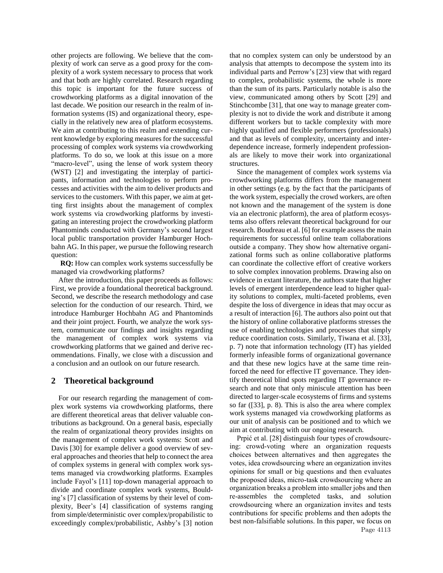other projects are following. We believe that the complexity of work can serve as a good proxy for the complexity of a work system necessary to process that work and that both are highly correlated. Research regarding this topic is important for the future success of crowdworking platforms as a digital innovation of the last decade. We position our research in the realm of information systems (IS) and organizational theory, especially in the relatively new area of platform ecosystems. We aim at contributing to this realm and extending current knowledge by exploring measures for the successful processing of complex work systems via crowdworking platforms. To do so, we look at this issue on a more "macro-level", using the lense of work system theory (WST) [2] and investigating the interplay of participants, information and technologies to perform processes and activities with the aim to deliver products and services to the customers. With this paper, we aim at getting first insights about the management of complex work systems via crowdworking platforms by investigating an interesting project the crowdworking platform Phantominds conducted with Germany's second largest local public transportation provider Hamburger Hochbahn AG. In this paper, we pursue the following research question:

 **RQ:** How can complex work systems successfully be managed via crowdworking platforms?

 After the introduction, this paper proceeds as follows: First, we provide a foundational theoretical background. Second, we describe the research methodology and case selection for the conduction of our research. Third, we introduce Hamburger Hochbahn AG and Phantominds and their joint project. Fourth, we analyze the work system, communicate our findings and insights regarding the management of complex work systems via crowdworking platforms that we gained and derive recommendations. Finally, we close with a discussion and a conclusion and an outlook on our future research.

#### **2 Theoretical background**

 For our research regarding the management of complex work systems via crowdworking platforms, there are different theoretical areas that deliver valuable contributions as background. On a general basis, especially the realm of organizational theory provides insights on the management of complex work systems: Scott and Davis [30] for example deliver a good overview of several approaches and theories that help to connect the area of complex systems in general with complex work systems managed via crowdworking platforms. Examples include Fayol's [11] top-down managerial approach to divide and coordinate complex work systems, Boulding's [7] classification of systems by their level of complexity, Beer's [4] classification of systems ranging from simple/deterministic over complex/propabilistic to exceedingly complex/probabilistic, Ashby's [3] notion

that no complex system can only be understood by an analysis that attempts to decompose the system into its individual parts and Perrow's [23] view that with regard to complex, probabilistic systems, the whole is more than the sum of its parts. Particularly notable is also the view, communicated among others by Scott [29] and Stinchcombe [31], that one way to manage greater complexity is not to divide the work and distribute it among different workers but to tackle complexity with more highly qualified and flexible performers (professionals) and that as levels of complexity, uncertainty and interdependence increase, formerly independent professionals are likely to move their work into organizational structures.

 Since the management of complex work systems via crowdworking platforms differs from the management in other settings (e.g. by the fact that the participants of the work system, especially the crowd workers, are often not known and the management of the system is done via an electronic platform), the area of platform ecosystems also offers relevant theoretical background for our research. Boudreau et al. [6] for example assess the main requirements for successful online team collaborations outside a company. They show how alternative organizational forms such as online collaborative platforms can coordinate the collective effort of creative workers to solve complex innovation problems. Drawing also on evidence in extant literature, the authors state that higher levels of emergent interdependence lead to higher quality solutions to complex, multi-faceted problems, even despite the loss of divergence in ideas that may occur as a result of interaction [6]. The authors also point out that the history of online collaborative platforms stresses the use of enabling technologies and processes that simply reduce coordination costs. Similarly, Tiwana et al. [33], p. 7) note that information technology (IT) has yielded formerly infeasible forms of organizational governance and that these new logics have at the same time reinforced the need for effective IT governance. They identify theoretical blind spots regarding IT governance research and note that only miniscule attention has been directed to larger-scale ecosystems of firms and systems so far ([33], p. 8). This is also the area where complex work systems managed via crowdworking platforms as our unit of analysis can be positioned and to which we aim at contributing with our ongoing research.

 **Prpić et al. [28] distinguish four types of crowdsourcing: crowd-voting where an organization requests choices between alternatives and then aggregates the votes, idea crowdsourcing where an organization invites opinions for small or big questions and then evaluates the proposed ideas, micro-task crowdsourcing where an organization breaks a problem into smaller jobs and then re-assembles the completed tasks, and solution crowdsourcing where an organization invites and tests contributions for specific problems and then adopts the best non-falsifiable solutions. In this paper, we focus on**  Page 4113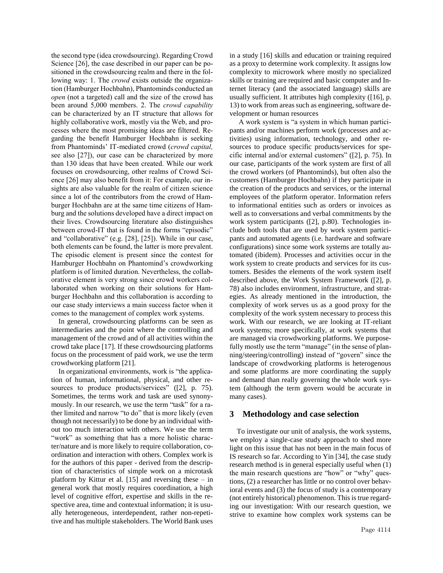**the second type (idea crowdsourcing). Regarding Crowd Science [26], the case described in our paper can be positioned in the crowdsourcing realm and there in the following way: 1. The** *crowd* **exists outside the organization (Hamburger Hochbahn), Phantominds conducted an**  *open* **(not a targeted) call and the size of the crowd has been around 5,000 members. 2. The** *crowd capability* **can be characterized by an IT structure that allows for highly collaborative work, mostly via the Web, and processes where the most promising ideas are filtered. Regarding the benefit Hamburger Hochbahn is seeking from Phantominds' IT-mediated crowd (***crowd capital,* **see also [27]), our case can be characterized by more than 130 ideas that have been created. While our work focuses on crowdsourcing, other realms of Crowd Science [26] may also benefit from it: For example, our insights are also valuable for the realm of citizen science since a lot of the contributors from the crowd of Hamburger Hochbahn are at the same time citizens of Hamburg and the solutions developed have a direct impact on their lives. Crowdsourcing literature also distinguishes between crowd-IT that is found in the forms "episodic" and "collaborative" (e.g. [28], [25]). While in our case, both elements can be found, the latter is more prevalent. The episodic element is present since the contest for Hamburger Hochbahn on Phantomind's crowdworking platform is of limited duration. Nevertheless, the collaborative element is very strong since crowd workers collaborated when working on their solutions for Hamburger Hochbahn and this collaboration is according to our case study interviews a main success factor when it comes to the management of complex work systems.** 

 In general, crowdsourcing platforms can be seen as intermediaries and the point where the controlling and management of the crowd and of all activities within the crowd take place [17]. If these crowdsourcing platforms focus on the processment of paid work, we use the term crowdworking platform [21].

 In organizational environments, work is "the application of human, informational, physical, and other resources to produce products/services" ([2], p. 75). Sometimes, the terms work and task are used [synony](http://www.dict.cc/englisch-deutsch/synonymously.html)[mously.](http://www.dict.cc/englisch-deutsch/synonymously.html) In our research, we use the term "task" for a rather limited and narrow "to do" that is more likely (even though not necessarily) to be done by an individual without too much interaction with others. We use the term "work" as something that has a more holistic character/nature and is more likely to require collaboration, coordination and interaction with others. Complex work is for the authors of this paper - derived from the description of characteristics of simple work on a microtask platform by Kittur et al.  $[15]$  and reversing these – in general work that mostly requires coordination, a high level of cognitive effort, expertise and skills in the respective area, time and contextual information; it is usually [heterogeneous,](http://www.dict.cc/englisch-deutsch/heterogeneous.html) interdependent, rather non-repetitive and has multiple stakeholders. The World Bank uses

in a study [16] skills and education or training required as a proxy to determine work complexity. It assigns low complexity to microwork where mostly no specialized skills or training are required and basic computer and Internet literacy (and the associated language) skills are usually sufficient. It attributes high complexity ([16], p. 13) to work from areas such as engineering, software development or human resources

 A work system is "a system in which human participants and/or machines perform work (processes and activities) using information, technology, and other resources to produce specific products/services for specific internal and/or external customers" ([2], p. 75). In our case, participants of the work system are first of all the crowd workers (of Phantominds), but often also the customers (Hamburger Hochbahn) if they participate in the creation of the products and services, or the internal employees of the platform operator. Information refers to informational entities such as orders or invoices as well as to conversations and verbal commitments by the work system participants ([2], p.80). Technologies include both tools that are used by work system participants and automated agents (i.e. hardware and software configurations) since some work systems are totally automated (ibidem). Processes and activities occur in the work system to create products and services for its customers. Besides the elements of the work system itself described above, the Work System Framework ([2], p. 78) also includes environment, infrastructure, and strategies. As already mentioned in the introduction, the complexity of work serves us as a good proxy for the complexity of the work system necessary to process this work. With our research, we are looking at IT-reliant work systems; more specifically, at work systems that are managed via crowdworking platforms. We purposefully mostly use the term "manage" (in the sense of planning/steering/controlling) instead of "govern" since the landscape of crowdworking platforms is heterogenous and some platforms are more coordinating the supply and demand than really governing the whole work system (although the term govern would be accurate in many cases).

#### **3 Methodology and case selection**

 To investigate our unit of analysis, the work systems, we employ a single-case study approach to shed more light on this issue that has not been in the main focus of IS research so far. According to Yin [34], the case study research method is in general especially useful when (1) the main research questions are "how" or "why" questions, (2) a researcher has little or no control over behavioral events and (3) the focus of study is a contemporary (not entirely historical) phenomenon. This is true regarding our investigation: With our research question, we strive to examine how complex work systems can be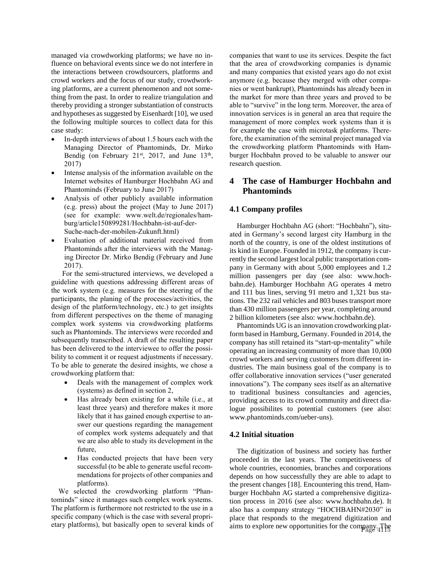managed via crowdworking platforms; we have no influence on behavioral events since we do not interfere in the interactions between crowdsourcers, platforms and crowd workers and the focus of our study, crowdworking platforms, are a current phenomenon and not something from the past. In order to realize triangulation and thereby providing a stronger substantiation of constructs and hypotheses as suggested by Eisenhardt [10], we used the following multiple sources to collect data for this case study:

- **In-depth interviews of about 1.5 hours each with the Managing Director of Phantominds, Dr. Mirko Bendig (on February 21st, 2017, and June 13th , 2017)**
- **Intense analysis of the information available on the Internet websites of Hamburger Hochbahn AG and Phantominds (February to June 2017)**
- **Analysis of other publicly available information (e.g. press) about the project (May to June 2017) (see for example: [www.welt.de/regionales/ham](http://www.welt.de/regionales/hamburg/article150899281/Hochbahn-ist-auf-der-Suche-nach-der-mobilen-Zukunft.html)[burg/article150899281/Hochbahn-ist-auf-der-](http://www.welt.de/regionales/hamburg/article150899281/Hochbahn-ist-auf-der-Suche-nach-der-mobilen-Zukunft.html)[Suche-nach-der-mobilen-Zukunft.html\)](http://www.welt.de/regionales/hamburg/article150899281/Hochbahn-ist-auf-der-Suche-nach-der-mobilen-Zukunft.html)**
- **Evaluation of additional material received from Phantominds after the interviews with the Managing Director Dr. Mirko Bendig (February and June 2017).**

 **For the semi-structured interviews, we developed a guideline with questions addressing different areas of the work system (e.g. measures for the steering of the participants, the planing of the processes/activities, the design of the platform/technology, etc.) to get insights from different perspectives on the theme of managing complex work systems via crowdworking platforms such as Phantominds. The interviews were recorded and subsequently transcribed. A draft of the resulting paper has been delivered to the interviewee to offer the possibility to comment it or request adjustments if necessary. To be able to generate the desired insights, we chose a crowdworking platform that:**

- **Deals with the management of complex work (systems) as defined in section 2,**
- **Has already been existing for a while (i.e., at least three years) and therefore makes it more likely that it has gained enough expertise to answer our questions regarding the management of complex work systems adequately and that we are also able to study its development in the future,**
- **Has conducted projects that have been very successful (to be able to generate useful recommendations for projects of other companies and platforms).**

 **We selected the crowdworking platform "Phantominds" since it manages such complex work systems. The platform is furthermore not restricted to the use in a specific company (which is the case with several proprietary platforms), but basically open to several kinds of**  **companies that want to use its services. Despite the fact that the area of crowdworking companies is dynamic and many companies that existed years ago do not exist anymore (e.g. because they merged with other companies or went bankrupt), Phantominds has already been in the market for more than three years and proved to be able to "survive" in the long term. Moreover, the area of innovation services is in general an area that require the management of more complex work systems than it is for example the case with microtask platforms. Therefore, the examination of the seminal project managed via the crowdworking platform Phantominds with Hamburger Hochbahn proved to be valuable to answer our research question.**

## **4 The case of Hamburger Hochbahn and Phantominds**

## **4.1 Company profiles**

 Hamburger Hochbahn AG (short: "Hochbahn"), situated in Germany's second largest city Hamburg in the north of the country, is one of the oldest institutions of its kind in Europe. Founded in 1912, the company is currently the second largest local public transportation company in Germany with about 5,000 employees and 1.2 million passengers per day (see also: [www.hoch](https://www.hochbahn.de/hochbahn/hamburg/de/Home/Unternehmen/Unser_Job_fuer_Hamburg/Der_Konzern/the_company_hochbahn)[bahn.de\).](https://www.hochbahn.de/hochbahn/hamburg/de/Home/Unternehmen/Unser_Job_fuer_Hamburg/Der_Konzern/the_company_hochbahn) Hamburger Hochbahn AG operates 4 metro and 111 bus lines, serving 91 metro and 1,321 bus stations. The 232 rail vehicles and 803 buses transport more than 430 million passengers per year, completing around 2 billion kilometers (see also: www.hochbahn.de).

 Phantominds UG is an innovation crowdworking platform based in Hamburg, Germany. Founded in 2014, the company has still retained its "start-up-mentality" while operating an increasing community of more than 10,000 crowd workers and serving customers from different industries. The main business goal of the company is to offer collaborative innovation services ("user generated innovations"). The company sees itself as an alternative to traditional business consultancies and agencies, providing access to its crowd community and direct dialogue possibilites to potential customers (see also: [www.phantominds.com/ueber-uns\)](http://www.phantominds.com/ueber-uns).

#### **4.2 Initial situation**

 The digitization of business and society has further proceeded in the last years. The [competitiveness](http://www.dict.cc/englisch-deutsch/competitiveness.html) of whole countries, economies, branches and corporations depends on how successfully they are able to adapt to the present changes [18]. Encountering this trend, Hamburger Hochbahn AG started a comprehensive digitization process in 2016 (see also: www.hochbahn.de). It also has a company strategy "HOCHBAHN#2030" in place that responds to the megatrend digitization and aims to explore new opportunities for the company. The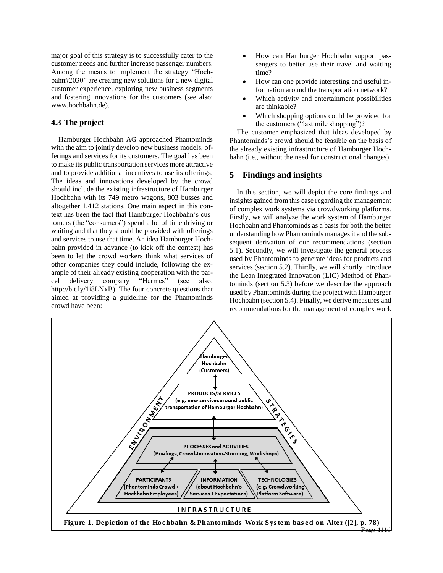major goal of this strategy is to successfully cater to the customer needs and further increase passenger numbers. Among the means to implement the strategy "Hochbahn#2030" are creating new solutions for a new digital customer experience, exploring new business segments and fostering innovations for the customers (see also: www.hochbahn.de).

### **4.3 The project**

 Hamburger Hochbahn AG approached Phantominds with the aim to jointly develop new business models, offerings and services for its customers. The goal has been to make its public transportation services more attractive and to provide additional incentives to use its offerings. The ideas and innovations developed by the crowd should include the existing infrastructure of Hamburger Hochbahn with its 749 metro wagons, 803 busses and altogether 1.412 stations. One main aspect in this context has been the fact that Hamburger Hochbahn's customers (the "consumers") spend a lot of time driving or waiting and that they should be provided with offerings and services to use that time. An idea Hamburger Hochbahn provided in advance (to kick off the contest) has been to let the crowd workers think what services of other companies they could include, following the example of their already existing cooperation with the parcel delivery company "Hermes" (see also: http://bit.ly/1i8LNxB). The four concrete questions that aimed at providing a guideline for the Phantominds crowd have been:

- How can Hamburger Hochbahn support passengers to better use their travel and waiting time?
- How can one provide interesting and useful information around the transportation network?
- Which activity and entertainment possibilities are thinkable?
- Which shopping options could be provided for the customers ("last mile shopping")?

 The customer emphasized that ideas developed by Phantominds's crowd should be feasible on the basis of the already existing infrastructure of Hamburger Hochbahn (i.e., without the need for constructional changes).

### **5 Findings and insights**

 In this section, we will depict the core findings and insights gained from this case regarding the management of complex work systems via crowdworking platforms. Firstly, we will analyze the work system of Hamburger Hochbahn and Phantominds as a basis for both the better understanding how Phantominds manages it and the subsequent derivation of our recommendations (section 5.1). Secondly, we will investigate the general process used by Phantominds to generate ideas for products and services (section 5.2). Thirdly, we will shortly introduce the Lean Integrated Innovation (LIC) Method of Phantominds (section 5.3) before we describe the approach used by Phantominds during the project with Hamburger Hochbahn (section 5.4). Finally, we derive measures and recommendations for the management of complex work

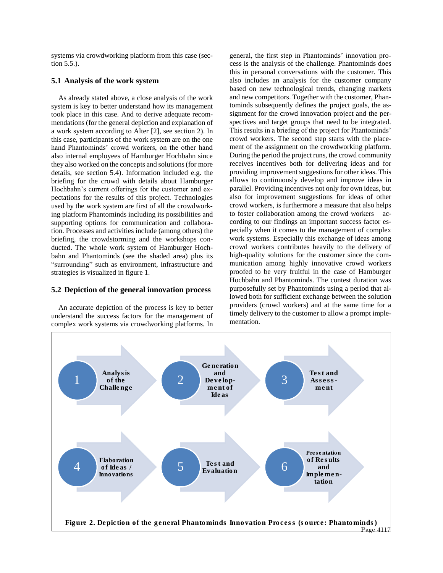systems via crowdworking platform from this case (section 5.5.).

### **5.1 Analysis of the work system**

 As already stated above, a close analysis of the work system is key to better understand how its management took place in this case. And to derive adequate recommendations (for the general depiction and explanation of a work system according to Alter [2], see section 2). In this case, participants of the work system are on the one hand Phantominds' crowd workers, on the other hand also internal employees of Hamburger Hochbahn since they also worked on the concepts and solutions (for more details, see section 5.4). Information included e.g. the briefing for the crowd with details about Hamburger Hochbahn's current offerings for the customer and expectations for the results of this project. Technologies used by the work system are first of all the crowdworking platform Phantominds including its possibilities and supporting options for communication and collaboration. Processes and activities include (among others) the briefing, the crowdstorming and the workshops conducted. The whole work system of Hamburger Hochbahn and Phantominds (see the shaded area) plus its "surrounding" such as environment, infrastructure and strategies is visualized in figure 1.

#### **5.2 Depiction of the general innovation process**

 An accurate depiction of the process is key to better understand the success factors for the management of complex work systems via crowdworking platforms. In

general, the first step in Phantominds' innovation process is the analysis of the challenge. Phantominds does this in personal conversations with the customer. This also includes an analysis for the customer company based on new technological trends, changing markets and new competitors. Together with the customer, Phantominds subsequently defines the project goals, the assignment for the crowd innovation project and the perspectives and target groups that need to be integrated. This results in a briefing of the project for Phantominds' crowd workers. The second step starts with the placement of the assignment on the crowdworking platform. During the period the project runs, the crowd community receives incentives both for delivering ideas and for providing improvement suggestions for other ideas. This allows to continuously develop and improve ideas in parallel. Providing incentives not only for own ideas, but also for improvement suggestions for ideas of other crowd workers, is furthermore a measure that also helps to foster collaboration among the crowd workers – according to our findings an important success factor especially when it comes to the management of complex work systems. Especially this exchange of ideas among crowd workers contributes heavily to the delivery of high-quality solutions for the customer since the communication among highly innovative crowd workers proofed to be very fruitful in the case of Hamburger Hochbahn and Phantominds. The contest duration was purposefully set by Phantominds using a period that allowed both for sufficient exchange between the solution providers (crowd workers) and at the same time for a timely delivery to the customer to allow a prompt implementation.

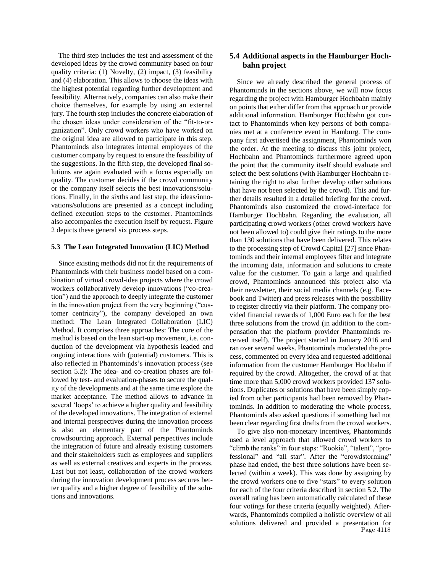The third step includes the test and assessment of the developed ideas by the crowd community based on four quality criteria: (1) Novelty, (2) impact, (3) feasibility and (4) elaboration. This allows to choose the ideas with the highest potential regarding further development and feasibility. Alternatively, companies can also make their choice themselves, for example by using an external jury. The fourth step includes the concrete elaboration of the chosen ideas under consideration of the "fit-to-organization". Only crowd workers who have worked on the original idea are allowed to participate in this step. Phantominds also integrates internal employees of the customer company by request to ensure the feasibility of the suggestions. In the fifth step, the developed final solutions are again evaluated with a focus especially on quality. The customer decides if the crowd community or the company itself selects the best innovations/solutions. Finally, in the sixths and last step, the ideas/innovations/solutions are presented as a concept including defined execution steps to the customer. Phantominds also accompanies the execution itself by request. Figure 2 depicts these general six process steps.

#### **5.3 The Lean Integrated Innovation (LIC) Method**

 Since existing methods did not fit the requirements of Phantominds with their business model based on a combination of virtual crowd-idea projects where the crowd workers collaboratively develop innovations ("co-creation") and the approach to deeply integrate the customer in the innovation project from the very beginning ("customer centricity"), the company developed an own method: The Lean Integrated Collaboration (LIC) Method. It comprises three approaches: The core of the method is based on the lean start-up movement, i.e. conduction of the development via hypothesis leaded and ongoing interactions with (potential) customers. This is also reflected in Phantominds's innovation process (see section 5.2): The idea- and co-creation phases are followed by test- and evaluation-phases to secure the quality of the developments and at the same time explore the market acceptance. The method allows to advance in several 'loops' to achieve a higher quality and feasibility of the developed innovations. The integration of external and internal perspectives during the innovation process is also an elementary part of the Phantominds crowdsourcing approach. External perspectives include the integration of future and already existing customers and their stakeholders such as employees and suppliers as well as external creatives and experts in the process. Last but not least, collaboration of the crowd workers during the innovation development process secures better quality and a higher degree of feasibility of the solutions and innovations.

## **5.4 Additional aspects in the Hamburger Hochbahn project**

 Since we already described the general process of Phantominds in the sections above, we will now focus regarding the project with Hamburger Hochbahn mainly on points that either differ from that approach or provide additional information. Hamburger Hochbahn got contact to Phantominds when key persons of both companies met at a conference event in Hamburg. The company first advertised the assignment, Phantominds won the order. At the meeting to discuss this joint project, Hochbahn and Phantominds furthermore agreed upon the point that the community itself should evaluate and select the best solutions (with Hamburger Hochbahn retaining the right to also further develop other solutions that have not been selected by the crowd). This and further details resulted in a detailed briefing for the crowd. Phantominds also customized the crowd-interface for Hamburger Hochbahn. Regarding the evaluation, all participating crowd workers (other crowd workers have not been allowed to) could give their ratings to the more than 130 solutions that have been delivered. This relates to the processing step of Crowd Capital [27] since Phantominds and their internal employees filter and integrate the incoming data, information and solutions to create value for the customer. To gain a large and qualified crowd, Phantominds announced this project also via their newsletter, their social media channels (e.g. Facebook and Twitter) and press releases with the possibility to register directly via their platform. The company provided financial rewards of 1,000 Euro each for the best three solutions from the crowd (in addition to the compensation that the platform provider Phantominds received itself). The project started in January 2016 and ran over several weeks. Phantominds moderated the process, commented on every idea and requested additional information from the customer Hamburger Hochbahn if required by the crowd. Altogether, the crowd of at that time more than 5,000 crowd workers provided 137 solutions. Duplicates or solutions that have been simply copied from other participants had been removed by Phantominds. In addition to moderating the whole process, Phantominds also asked questions if something had not been clear regarding first drafts from the crowd workers.

 To give also non-monetary incentives, Phantominds used a level approach that allowed crowd workers to "climb the ranks" in four steps: "Rookie", "talent", "professional" and "all star". After the "crowdstorming" phase had ended, the best three solutions have been selected (within a week). This was done by assigning by the crowd workers one to five "stars" to every solution for each of the four criteria described in section 5.2. The overall rating has been automatically calculated of these four votings for these criteria (equally weighted). Afterwards, Phantominds compiled a holistic overview of all solutions delivered and provided a presentation for Page 4118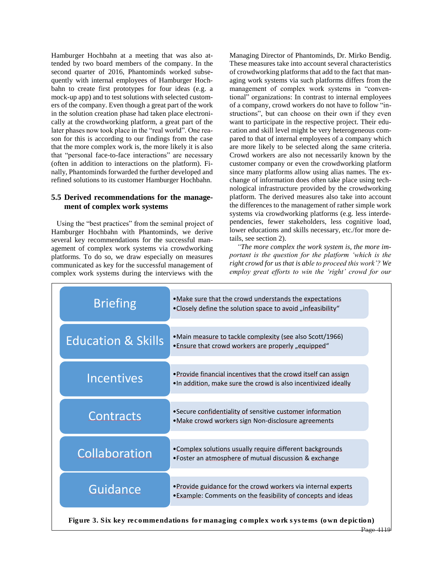Hamburger Hochbahn at a meeting that was also attended by two board members of the company. In the second quarter of 2016, Phantominds worked subsequently with internal employees of Hamburger Hochbahn to create first prototypes for four ideas (e.g. a mock-up app) and to test solutions with selected customers of the company. Even though a great part of the work in the solution creation phase had taken place electronically at the crowdworking platform, a great part of the later phases now took place in the "real world". One reason for this is according to our findings from the case that the more complex work is, the more likely it is also that "personal face-to-face interactions" are necessary (often in addition to interactions on the platform). Finally, Phantominds forwarded the further developed and refined solutions to its customer Hamburger Hochbahn.

## **5.5 Derived recommendations for the management of complex work systems**

 Using the "best practices" from the seminal project of Hamburger Hochbahn with Phantominds, we derive several key recommendations for the successful management of complex work systems via crowdworking platforms. To do so, we draw especially on measures communicated as key for the successful management of complex work systems during the interviews with the

Managing Director of Phantominds, Dr. Mirko Bendig. These measures take into account several characteristics of crowdworking platforms that add to the fact that managing work systems via such platforms differs from the management of complex work systems in "conventional" organizations: In contrast to internal employees of a company, crowd workers do not have to follow "instructions", but can choose on their own if they even want to participate in the respective project. Their education and skill level might be very heterogeneous compared to that of internal employees of a company which are more likely to be selected along the same criteria. Crowd workers are also not necessarily known by the customer company or even the crowdworking platform since many platforms allow using alias names. The exchange of information does often take place using technological infrastructure provided by the crowdworking platform. The derived measures also take into account the differences to the management of rather simple work systems via crowdworking platforms (e.g. less interdependencies, fewer stakeholders, less cognitive load, lower educations and skills necessary, etc./for more details, see section 2).

 *"The more complex the work system is, the more important is the question for the platform 'which is the right crowd for us that is able to proceed this work'? We employ great efforts to win the 'right' crowd for our* 

| . Make sure that the crowd understands the expectations<br>•Closely define the solution space to avoid "infeasibility"             |
|------------------------------------------------------------------------------------------------------------------------------------|
| •Main measure to tackle complexity (see also Scott/1966)<br>•Ensure that crowd workers are properly "equipped"                     |
| . Provide financial incentives that the crowd itself can assign<br>. In addition, make sure the crowd is also incentivized ideally |
| •Secure confidentiality of sensitive customer information<br>• Make crowd workers sign Non-disclosure agreements                   |
| . Complex solutions usually require different backgrounds<br>•Foster an atmosphere of mutual discussion & exchange                 |
| . Provide guidance for the crowd workers via internal experts<br>. Example: Comments on the feasibility of concepts and ideas      |
|                                                                                                                                    |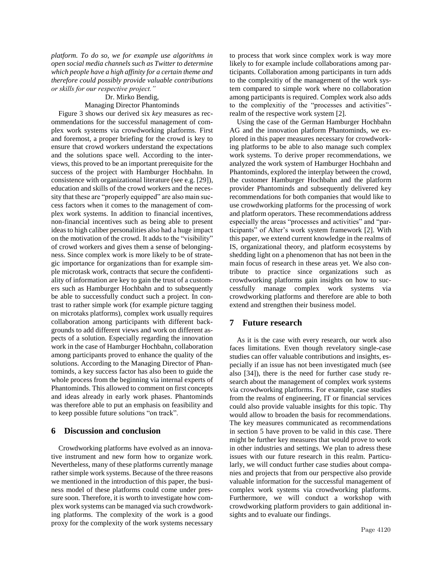*platform. To do so, we for example use algorithms in open social media channels such as Twitter to determine which people have a high affinity for a certain theme and therefore could possibly provide valuable contributions or skills for our respective project."*

## Dr. Mirko Bendig, Managing Director Phantominds

 Figure 3 shows our derived six *key* measures as recommendations for the successful management of complex work systems via crowdworking platforms. First and foremost, a proper briefing for the crowd is key to ensure that crowd workers understand the expectations and the solutions space well. According to the interviews, this proved to be an important prerequisite for the success of the project with Hamburger Hochbahn. In consistence with organizational literature (see e.g. [29]), education and skills of the crowd workers and the necessity that these are "properly equipped" are also main success factors when it comes to the management of complex work systems. In addition to financial incentives, non-financial incentives such as being able to present ideas to high caliber personalities also had a huge impact on the motivation of the crowd. It adds to the "visibility" of crowd workers and gives them a sense of belongingness. Since complex work is more likely to be of strategic importance for organizations than for example simple microtask work, contracts that secure the confidentiality of information are key to gain the trust of a customers such as Hamburger Hochbahn and to subsequently be able to successfully conduct such a project. In contrast to rather simple work (for example picture tagging on microtaks platforms), complex work usually requires collaboration among participants with different backgrounds to add different views and work on different aspects of a solution. Especially regarding the innovation work in the case of Hamburger Hochbahn, collaboration among participants proved to enhance the quality of the solutions. According to the Managing Director of Phantominds, a key success factor has also been to guide the whole process from the beginning via internal experts of Phantominds. This allowed to comment on first concepts and ideas already in early work phases. Phantominds was therefore able to put an emphasis on feasibility and to keep possible future solutions "on track".

### **6 Discussion and conclusion**

 Crowdworking platforms have evolved as an innovative instrument and new form how to organize work. Nevertheless, many of these platforms currently manage rather simple work systems. Because of the three reasons we mentioned in the introduction of this paper, the business model of these platforms could come under pressure soon. Therefore, it is worth to investigate how complex work systems can be managed via such crowdworking platforms. The complexity of the work is a good proxy for the complexity of the work systems necessary

to process that work since complex work is way more likely to for example include collaborations among participants. Collaboration among participants in turn adds to the complexitiy of the management of the work system compared to simple work where no collaboration among participants is required. Complex work also adds to the complexitiy of the "processes and activities" realm of the respective work system [2].

 Using the case of the German Hamburger Hochbahn AG and the innovation platform Phantominds, we explored in this paper measures necessary for crowdworking platforms to be able to also manage such complex work systems. To derive proper recommendations, we analyzed the work system of Hamburger Hochbahn and Phantominds, explored the interplay between the crowd, the customer Hamburger Hochbahn and the platform provider Phantominds and subsequently delivered key recommendations for both companies that would like to use crowdworking platforms for the processing of work and platform operators. These recommendations address especially the areas "processes and activities" and "participants" of Alter's work system framework [2]. With this paper, we extend current knowledge in the realms of IS, organizational theory, and platform ecosystems by shedding light on a phenomenon that has not been in the main focus of research in these areas yet. We also contribute to practice since organizations such as crowdworking platforms gain insights on how to successfully manage complex work systems via crowdworking platforms and therefore are able to both extend and strengthen their business model.

## **7 Future research**

 As it is the case with every research, our work also faces limitations. Even though revelatory single-case studies can offer valuable contributions and insights, especially if an issue has not been investigated much (see also [34]), there is the need for further case study research about the management of complex work systems via crowdworking platforms. For example, case studies from the realms of engineering, IT or financial services could also provide valuable insights for this topic. Thy would allow to broaden the basis for recommendations. The key measures communicated as recommendations in section 5 have proven to be valid in this case. There might be further key measures that would prove to work in other industries and settings. We plan to adress these issues with our future research in this realm. Particularly, we will conduct further case studies about companies and projects that from our perspective also provide valuable information for the successful management of complex work systems via crowdworking platforms. Furthermore, we will conduct a workshop with crowdworking platform providers to gain additional insights and to evaluate our findings.